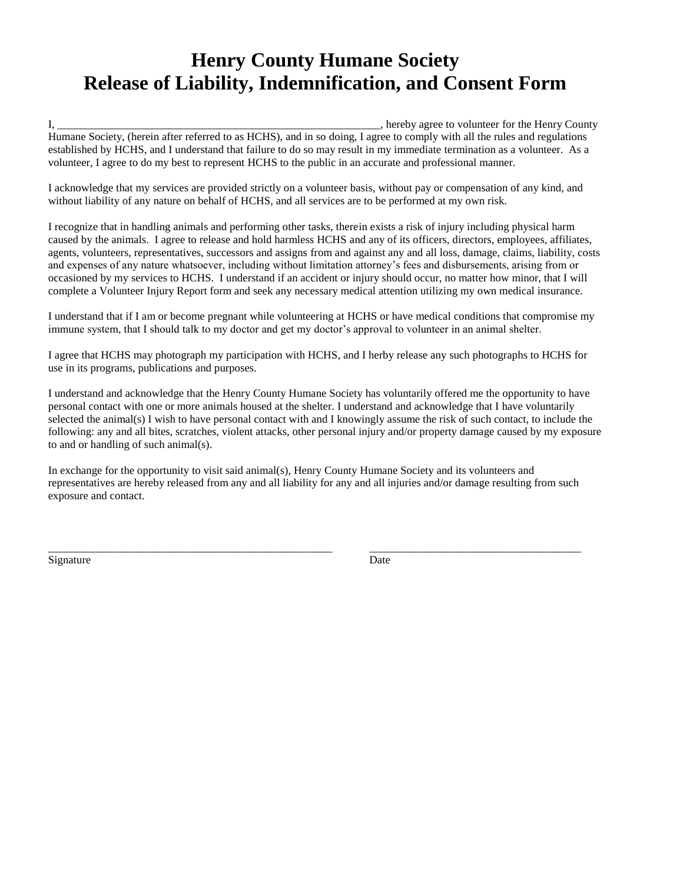## **Henry County Humane Society Release of Liability, Indemnification, and Consent Form**

I, \_\_\_\_\_\_\_\_\_\_\_\_\_\_\_\_\_\_\_\_\_\_\_\_\_\_\_\_\_\_\_\_\_\_\_\_\_\_\_\_\_\_\_\_\_\_\_\_\_\_\_\_\_\_\_\_\_\_, hereby agree to volunteer for the Henry County Humane Society, (herein after referred to as HCHS), and in so doing, I agree to comply with all the rules and regulations established by HCHS, and I understand that failure to do so may result in my immediate termination as a volunteer. As a volunteer, I agree to do my best to represent HCHS to the public in an accurate and professional manner.

I acknowledge that my services are provided strictly on a volunteer basis, without pay or compensation of any kind, and without liability of any nature on behalf of HCHS, and all services are to be performed at my own risk.

I recognize that in handling animals and performing other tasks, therein exists a risk of injury including physical harm caused by the animals. I agree to release and hold harmless HCHS and any of its officers, directors, employees, affiliates, agents, volunteers, representatives, successors and assigns from and against any and all loss, damage, claims, liability, costs and expenses of any nature whatsoever, including without limitation attorney's fees and disbursements, arising from or occasioned by my services to HCHS. I understand if an accident or injury should occur, no matter how minor, that I will complete a Volunteer Injury Report form and seek any necessary medical attention utilizing my own medical insurance.

I understand that if I am or become pregnant while volunteering at HCHS or have medical conditions that compromise my immune system, that I should talk to my doctor and get my doctor's approval to volunteer in an animal shelter.

I agree that HCHS may photograph my participation with HCHS, and I herby release any such photographs to HCHS for use in its programs, publications and purposes.

I understand and acknowledge that the Henry County Humane Society has voluntarily offered me the opportunity to have personal contact with one or more animals housed at the shelter. I understand and acknowledge that I have voluntarily selected the animal(s) I wish to have personal contact with and I knowingly assume the risk of such contact, to include the following: any and all bites, scratches, violent attacks, other personal injury and/or property damage caused by my exposure to and or handling of such animal(s).

In exchange for the opportunity to visit said animal(s), Henry County Humane Society and its volunteers and representatives are hereby released from any and all liability for any and all injuries and/or damage resulting from such exposure and contact.

\_\_\_\_\_\_\_\_\_\_\_\_\_\_\_\_\_\_\_\_\_\_\_\_\_\_\_\_\_\_\_\_\_\_\_\_\_\_\_\_\_\_\_\_\_\_\_\_\_\_\_ \_\_\_\_\_\_\_\_\_\_\_\_\_\_\_\_\_\_\_\_\_\_\_\_\_\_\_\_\_\_\_\_\_\_\_\_\_\_

Signature Date